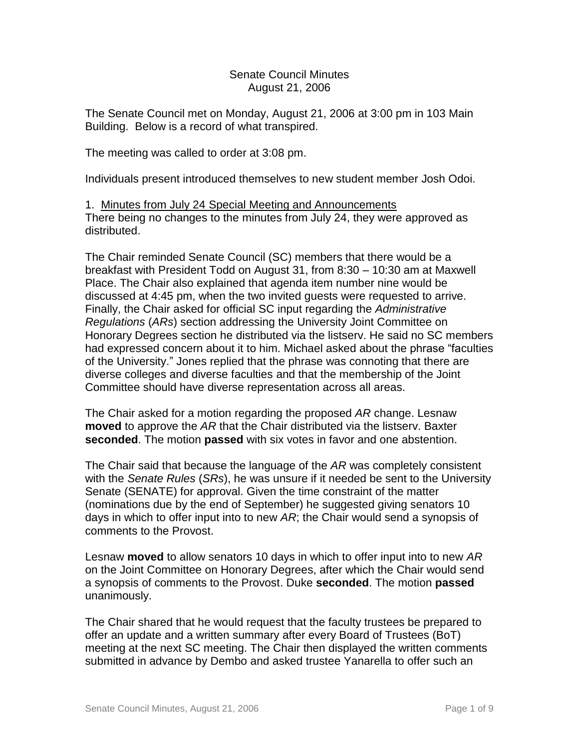# Senate Council Minutes August 21, 2006

The Senate Council met on Monday, August 21, 2006 at 3:00 pm in 103 Main Building. Below is a record of what transpired.

The meeting was called to order at 3:08 pm.

Individuals present introduced themselves to new student member Josh Odoi.

1. Minutes from July 24 Special Meeting and Announcements There being no changes to the minutes from July 24, they were approved as distributed.

The Chair reminded Senate Council (SC) members that there would be a breakfast with President Todd on August 31, from 8:30 – 10:30 am at Maxwell Place. The Chair also explained that agenda item number nine would be discussed at 4:45 pm, when the two invited guests were requested to arrive. Finally, the Chair asked for official SC input regarding the *Administrative Regulations* (*ARs*) section addressing the University Joint Committee on Honorary Degrees section he distributed via the listserv. He said no SC members had expressed concern about it to him. Michael asked about the phrase "faculties of the University." Jones replied that the phrase was connoting that there are diverse colleges and diverse faculties and that the membership of the Joint Committee should have diverse representation across all areas.

The Chair asked for a motion regarding the proposed *AR* change. Lesnaw **moved** to approve the *AR* that the Chair distributed via the listserv. Baxter **seconded**. The motion **passed** with six votes in favor and one abstention.

The Chair said that because the language of the *AR* was completely consistent with the *Senate Rules* (*SRs*), he was unsure if it needed be sent to the University Senate (SENATE) for approval. Given the time constraint of the matter (nominations due by the end of September) he suggested giving senators 10 days in which to offer input into to new *AR*; the Chair would send a synopsis of comments to the Provost.

Lesnaw **moved** to allow senators 10 days in which to offer input into to new *AR* on the Joint Committee on Honorary Degrees, after which the Chair would send a synopsis of comments to the Provost. Duke **seconded**. The motion **passed** unanimously.

The Chair shared that he would request that the faculty trustees be prepared to offer an update and a written summary after every Board of Trustees (BoT) meeting at the next SC meeting. The Chair then displayed the written comments submitted in advance by Dembo and asked trustee Yanarella to offer such an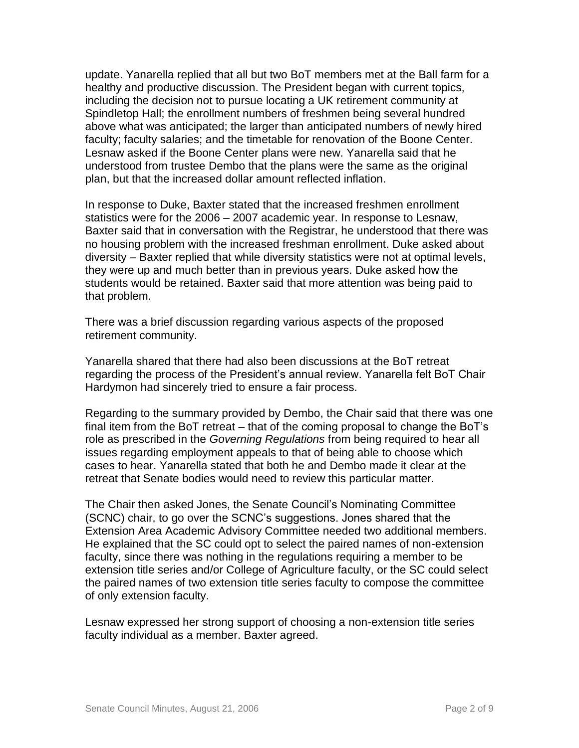update. Yanarella replied that all but two BoT members met at the Ball farm for a healthy and productive discussion. The President began with current topics, including the decision not to pursue locating a UK retirement community at Spindletop Hall; the enrollment numbers of freshmen being several hundred above what was anticipated; the larger than anticipated numbers of newly hired faculty; faculty salaries; and the timetable for renovation of the Boone Center. Lesnaw asked if the Boone Center plans were new. Yanarella said that he understood from trustee Dembo that the plans were the same as the original plan, but that the increased dollar amount reflected inflation.

In response to Duke, Baxter stated that the increased freshmen enrollment statistics were for the 2006 – 2007 academic year. In response to Lesnaw, Baxter said that in conversation with the Registrar, he understood that there was no housing problem with the increased freshman enrollment. Duke asked about diversity – Baxter replied that while diversity statistics were not at optimal levels, they were up and much better than in previous years. Duke asked how the students would be retained. Baxter said that more attention was being paid to that problem.

There was a brief discussion regarding various aspects of the proposed retirement community.

Yanarella shared that there had also been discussions at the BoT retreat regarding the process of the President's annual review. Yanarella felt BoT Chair Hardymon had sincerely tried to ensure a fair process.

Regarding to the summary provided by Dembo, the Chair said that there was one final item from the BoT retreat – that of the coming proposal to change the BoT's role as prescribed in the *Governing Regulations* from being required to hear all issues regarding employment appeals to that of being able to choose which cases to hear. Yanarella stated that both he and Dembo made it clear at the retreat that Senate bodies would need to review this particular matter.

The Chair then asked Jones, the Senate Council's Nominating Committee (SCNC) chair, to go over the SCNC's suggestions. Jones shared that the Extension Area Academic Advisory Committee needed two additional members. He explained that the SC could opt to select the paired names of non-extension faculty, since there was nothing in the regulations requiring a member to be extension title series and/or College of Agriculture faculty, or the SC could select the paired names of two extension title series faculty to compose the committee of only extension faculty.

Lesnaw expressed her strong support of choosing a non-extension title series faculty individual as a member. Baxter agreed.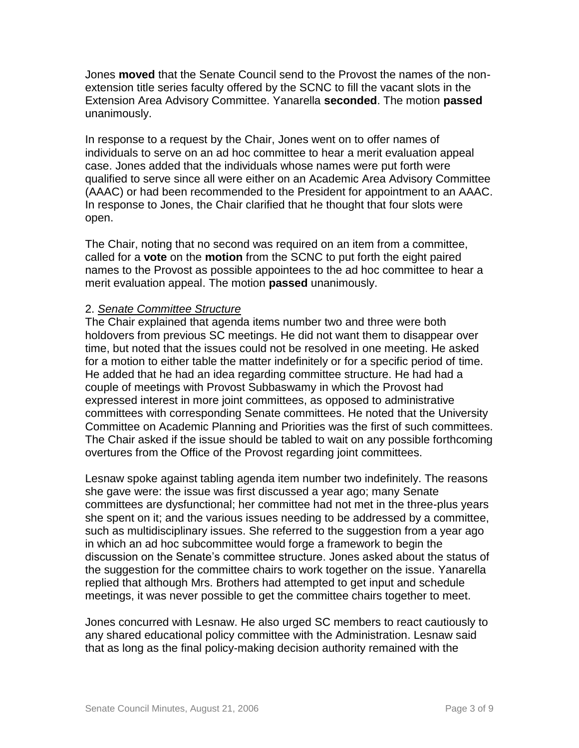Jones **moved** that the Senate Council send to the Provost the names of the nonextension title series faculty offered by the SCNC to fill the vacant slots in the Extension Area Advisory Committee. Yanarella **seconded**. The motion **passed** unanimously.

In response to a request by the Chair, Jones went on to offer names of individuals to serve on an ad hoc committee to hear a merit evaluation appeal case. Jones added that the individuals whose names were put forth were qualified to serve since all were either on an Academic Area Advisory Committee (AAAC) or had been recommended to the President for appointment to an AAAC. In response to Jones, the Chair clarified that he thought that four slots were open.

The Chair, noting that no second was required on an item from a committee, called for a **vote** on the **motion** from the SCNC to put forth the eight paired names to the Provost as possible appointees to the ad hoc committee to hear a merit evaluation appeal. The motion **passed** unanimously.

# 2. *Senate Committee Structure*

The Chair explained that agenda items number two and three were both holdovers from previous SC meetings. He did not want them to disappear over time, but noted that the issues could not be resolved in one meeting. He asked for a motion to either table the matter indefinitely or for a specific period of time. He added that he had an idea regarding committee structure. He had had a couple of meetings with Provost Subbaswamy in which the Provost had expressed interest in more joint committees, as opposed to administrative committees with corresponding Senate committees. He noted that the University Committee on Academic Planning and Priorities was the first of such committees. The Chair asked if the issue should be tabled to wait on any possible forthcoming overtures from the Office of the Provost regarding joint committees.

Lesnaw spoke against tabling agenda item number two indefinitely. The reasons she gave were: the issue was first discussed a year ago; many Senate committees are dysfunctional; her committee had not met in the three-plus years she spent on it; and the various issues needing to be addressed by a committee, such as multidisciplinary issues. She referred to the suggestion from a year ago in which an ad hoc subcommittee would forge a framework to begin the discussion on the Senate's committee structure. Jones asked about the status of the suggestion for the committee chairs to work together on the issue. Yanarella replied that although Mrs. Brothers had attempted to get input and schedule meetings, it was never possible to get the committee chairs together to meet.

Jones concurred with Lesnaw. He also urged SC members to react cautiously to any shared educational policy committee with the Administration. Lesnaw said that as long as the final policy-making decision authority remained with the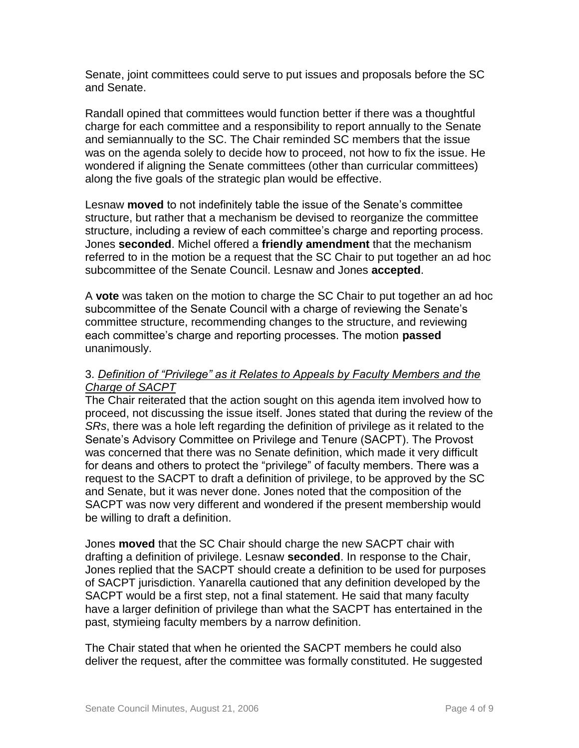Senate, joint committees could serve to put issues and proposals before the SC and Senate.

Randall opined that committees would function better if there was a thoughtful charge for each committee and a responsibility to report annually to the Senate and semiannually to the SC. The Chair reminded SC members that the issue was on the agenda solely to decide how to proceed, not how to fix the issue. He wondered if aligning the Senate committees (other than curricular committees) along the five goals of the strategic plan would be effective.

Lesnaw **moved** to not indefinitely table the issue of the Senate's committee structure, but rather that a mechanism be devised to reorganize the committee structure, including a review of each committee's charge and reporting process. Jones **seconded**. Michel offered a **friendly amendment** that the mechanism referred to in the motion be a request that the SC Chair to put together an ad hoc subcommittee of the Senate Council. Lesnaw and Jones **accepted**.

A **vote** was taken on the motion to charge the SC Chair to put together an ad hoc subcommittee of the Senate Council with a charge of reviewing the Senate's committee structure, recommending changes to the structure, and reviewing each committee's charge and reporting processes. The motion **passed**  unanimously.

# 3. *Definition of "Privilege" as it Relates to Appeals by Faculty Members and the Charge of SACPT*

The Chair reiterated that the action sought on this agenda item involved how to proceed, not discussing the issue itself. Jones stated that during the review of the *SRs*, there was a hole left regarding the definition of privilege as it related to the Senate's Advisory Committee on Privilege and Tenure (SACPT). The Provost was concerned that there was no Senate definition, which made it very difficult for deans and others to protect the "privilege" of faculty members. There was a request to the SACPT to draft a definition of privilege, to be approved by the SC and Senate, but it was never done. Jones noted that the composition of the SACPT was now very different and wondered if the present membership would be willing to draft a definition.

Jones **moved** that the SC Chair should charge the new SACPT chair with drafting a definition of privilege. Lesnaw **seconded**. In response to the Chair, Jones replied that the SACPT should create a definition to be used for purposes of SACPT jurisdiction. Yanarella cautioned that any definition developed by the SACPT would be a first step, not a final statement. He said that many faculty have a larger definition of privilege than what the SACPT has entertained in the past, stymieing faculty members by a narrow definition.

The Chair stated that when he oriented the SACPT members he could also deliver the request, after the committee was formally constituted. He suggested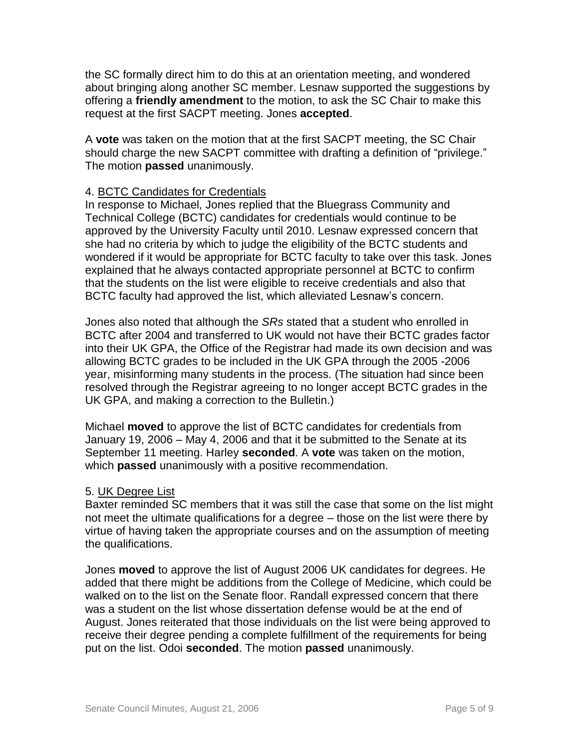the SC formally direct him to do this at an orientation meeting, and wondered about bringing along another SC member. Lesnaw supported the suggestions by offering a **friendly amendment** to the motion, to ask the SC Chair to make this request at the first SACPT meeting. Jones **accepted**.

A **vote** was taken on the motion that at the first SACPT meeting, the SC Chair should charge the new SACPT committee with drafting a definition of "privilege." The motion **passed** unanimously.

# 4. BCTC Candidates for Credentials

In response to Michael, Jones replied that the Bluegrass Community and Technical College (BCTC) candidates for credentials would continue to be approved by the University Faculty until 2010. Lesnaw expressed concern that she had no criteria by which to judge the eligibility of the BCTC students and wondered if it would be appropriate for BCTC faculty to take over this task. Jones explained that he always contacted appropriate personnel at BCTC to confirm that the students on the list were eligible to receive credentials and also that BCTC faculty had approved the list, which alleviated Lesnaw's concern.

Jones also noted that although the *SRs* stated that a student who enrolled in BCTC after 2004 and transferred to UK would not have their BCTC grades factor into their UK GPA, the Office of the Registrar had made its own decision and was allowing BCTC grades to be included in the UK GPA through the 2005 -2006 year, misinforming many students in the process. (The situation had since been resolved through the Registrar agreeing to no longer accept BCTC grades in the UK GPA, and making a correction to the Bulletin.)

Michael **moved** to approve the list of BCTC candidates for credentials from January 19, 2006 – May 4, 2006 and that it be submitted to the Senate at its September 11 meeting. Harley **seconded**. A **vote** was taken on the motion, which **passed** unanimously with a positive recommendation.

#### 5. UK Degree List

Baxter reminded SC members that it was still the case that some on the list might not meet the ultimate qualifications for a degree – those on the list were there by virtue of having taken the appropriate courses and on the assumption of meeting the qualifications.

Jones **moved** to approve the list of August 2006 UK candidates for degrees. He added that there might be additions from the College of Medicine, which could be walked on to the list on the Senate floor. Randall expressed concern that there was a student on the list whose dissertation defense would be at the end of August. Jones reiterated that those individuals on the list were being approved to receive their degree pending a complete fulfillment of the requirements for being put on the list. Odoi **seconded**. The motion **passed** unanimously.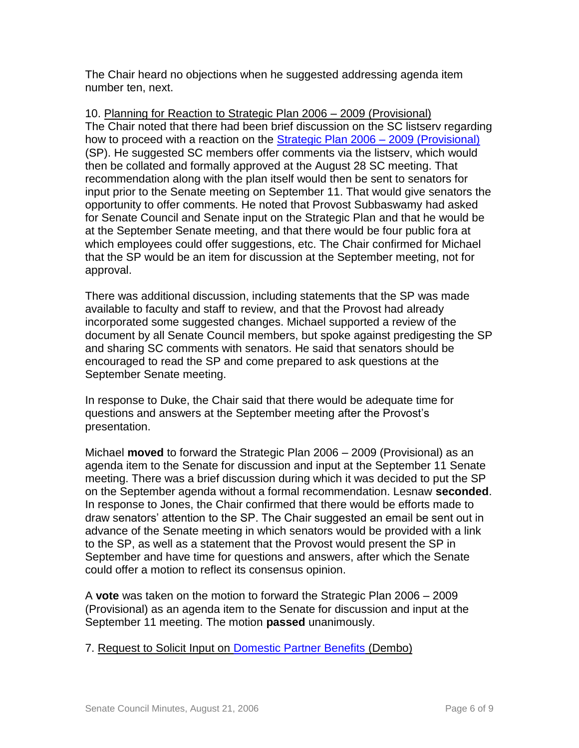The Chair heard no objections when he suggested addressing agenda item number ten, next.

10. Planning for Reaction to Strategic Plan 2006 – 2009 (Provisional) The Chair noted that there had been brief discussion on the SC listserv regarding how to proceed with a reaction on the [Strategic Plan 2006 –](http://www.uky.edu/USC/New/files/20060821/ProvostPlan.pdf) 2009 (Provisional) (SP). He suggested SC members offer comments via the listserv, which would then be collated and formally approved at the August 28 SC meeting. That recommendation along with the plan itself would then be sent to senators for input prior to the Senate meeting on September 11. That would give senators the opportunity to offer comments. He noted that Provost Subbaswamy had asked for Senate Council and Senate input on the Strategic Plan and that he would be at the September Senate meeting, and that there would be four public fora at which employees could offer suggestions, etc. The Chair confirmed for Michael that the SP would be an item for discussion at the September meeting, not for approval.

There was additional discussion, including statements that the SP was made available to faculty and staff to review, and that the Provost had already incorporated some suggested changes. Michael supported a review of the document by all Senate Council members, but spoke against predigesting the SP and sharing SC comments with senators. He said that senators should be encouraged to read the SP and come prepared to ask questions at the September Senate meeting.

In response to Duke, the Chair said that there would be adequate time for questions and answers at the September meeting after the Provost's presentation.

Michael **moved** to forward the Strategic Plan 2006 – 2009 (Provisional) as an agenda item to the Senate for discussion and input at the September 11 Senate meeting. There was a brief discussion during which it was decided to put the SP on the September agenda without a formal recommendation. Lesnaw **seconded**. In response to Jones, the Chair confirmed that there would be efforts made to draw senators' attention to the SP. The Chair suggested an email be sent out in advance of the Senate meeting in which senators would be provided with a link to the SP, as well as a statement that the Provost would present the SP in September and have time for questions and answers, after which the Senate could offer a motion to reflect its consensus opinion.

A **vote** was taken on the motion to forward the Strategic Plan 2006 – 2009 (Provisional) as an agenda item to the Senate for discussion and input at the September 11 meeting. The motion **passed** unanimously.

7. Request to Solicit Input on [Domestic Partner Benefits](http://www.uky.edu/USC/New/files/20060821/DPB%20Report%203-2005_TO%20SC.pdf) (Dembo)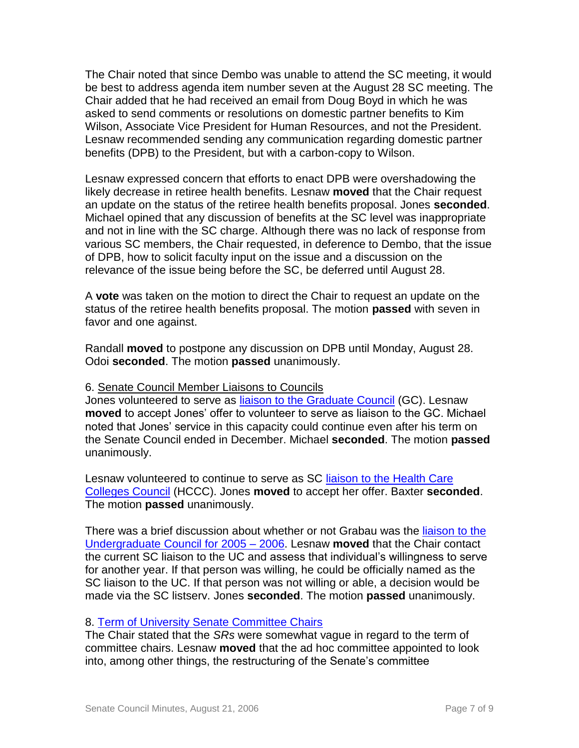The Chair noted that since Dembo was unable to attend the SC meeting, it would be best to address agenda item number seven at the August 28 SC meeting. The Chair added that he had received an email from Doug Boyd in which he was asked to send comments or resolutions on domestic partner benefits to Kim Wilson, Associate Vice President for Human Resources, and not the President. Lesnaw recommended sending any communication regarding domestic partner benefits (DPB) to the President, but with a carbon-copy to Wilson.

Lesnaw expressed concern that efforts to enact DPB were overshadowing the likely decrease in retiree health benefits. Lesnaw **moved** that the Chair request an update on the status of the retiree health benefits proposal. Jones **seconded**. Michael opined that any discussion of benefits at the SC level was inappropriate and not in line with the SC charge. Although there was no lack of response from various SC members, the Chair requested, in deference to Dembo, that the issue of DPB, how to solicit faculty input on the issue and a discussion on the relevance of the issue being before the SC, be deferred until August 28.

A **vote** was taken on the motion to direct the Chair to request an update on the status of the retiree health benefits proposal. The motion **passed** with seven in favor and one against.

Randall **moved** to postpone any discussion on DPB until Monday, August 28. Odoi **seconded**. The motion **passed** unanimously.

#### 6. Senate Council Member Liaisons to Councils

Jones volunteered to serve as [liaison to the Graduate Council](http://www.uky.edu/USC/New/files/20060821/GCMeetingDates2006-07.pdf) (GC). Lesnaw **moved** to accept Jones' offer to volunteer to serve as liaison to the GC. Michael noted that Jones' service in this capacity could continue even after his term on the Senate Council ended in December. Michael **seconded**. The motion **passed** unanimously.

Lesnaw volunteered to continue to serve as SC [liaison to the Health Care](http://www.uky.edu/USC/New/files/20060821/HCCCMeetingDates2006-07.pdf)  [Colleges Council](http://www.uky.edu/USC/New/files/20060821/HCCCMeetingDates2006-07.pdf) (HCCC). Jones **moved** to accept her offer. Baxter **seconded**. The motion **passed** unanimously.

There was a brief discussion about whether or not Grabau was the [liaison to the](http://www.uky.edu/USC/New/files/20060821/UCMeetingDates2006-07.pdf)  [Undergraduate Council for 2005 –](http://www.uky.edu/USC/New/files/20060821/UCMeetingDates2006-07.pdf) 2006. Lesnaw **moved** that the Chair contact the current SC liaison to the UC and assess that individual's willingness to serve for another year. If that person was willing, he could be officially named as the SC liaison to the UC. If that person was not willing or able, a decision would be made via the SC listserv. Jones **seconded**. The motion **passed** unanimously.

#### 8. [Term of University Senate Committee Chairs](http://www.uky.edu/USC/New/files/20060821/Snippet%20on%20Cmte%20Chairs.pdf)

The Chair stated that the *SRs* were somewhat vague in regard to the term of committee chairs. Lesnaw **moved** that the ad hoc committee appointed to look into, among other things, the restructuring of the Senate's committee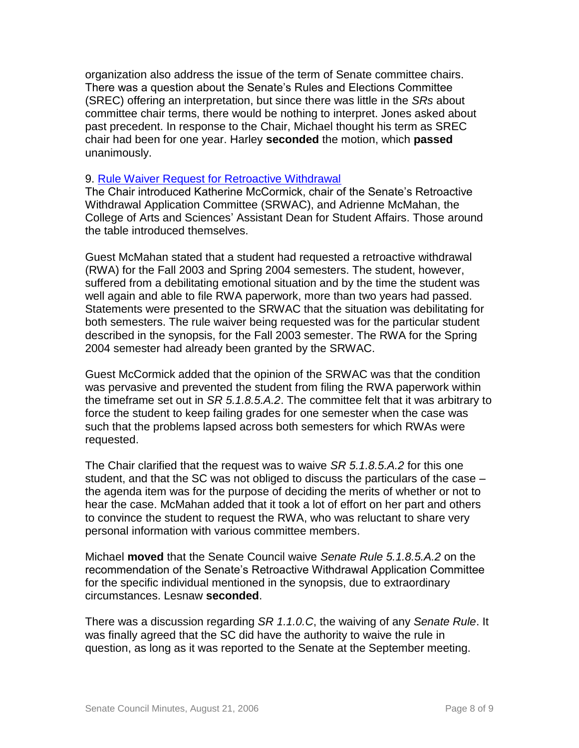organization also address the issue of the term of Senate committee chairs. There was a question about the Senate's Rules and Elections Committee (SREC) offering an interpretation, but since there was little in the *SRs* about committee chair terms, there would be nothing to interpret. Jones asked about past precedent. In response to the Chair, Michael thought his term as SREC chair had been for one year. Harley **seconded** the motion, which **passed** unanimously.

#### 9. [Rule Waiver Request for Retroactive Withdrawal](http://www.uky.edu/USC/New/files/20060821/RWA%20Rule%20Waiver%20Request%20Synopsis.pdf)

The Chair introduced Katherine McCormick, chair of the Senate's Retroactive Withdrawal Application Committee (SRWAC), and Adrienne McMahan, the College of Arts and Sciences' Assistant Dean for Student Affairs. Those around the table introduced themselves.

Guest McMahan stated that a student had requested a retroactive withdrawal (RWA) for the Fall 2003 and Spring 2004 semesters. The student, however, suffered from a debilitating emotional situation and by the time the student was well again and able to file RWA paperwork, more than two years had passed. Statements were presented to the SRWAC that the situation was debilitating for both semesters. The rule waiver being requested was for the particular student described in the synopsis, for the Fall 2003 semester. The RWA for the Spring 2004 semester had already been granted by the SRWAC.

Guest McCormick added that the opinion of the SRWAC was that the condition was pervasive and prevented the student from filing the RWA paperwork within the timeframe set out in *SR 5.1.8.5.A.2*. The committee felt that it was arbitrary to force the student to keep failing grades for one semester when the case was such that the problems lapsed across both semesters for which RWAs were requested.

The Chair clarified that the request was to waive *SR 5.1.8.5.A.2* for this one student, and that the SC was not obliged to discuss the particulars of the case – the agenda item was for the purpose of deciding the merits of whether or not to hear the case. McMahan added that it took a lot of effort on her part and others to convince the student to request the RWA, who was reluctant to share very personal information with various committee members.

Michael **moved** that the Senate Council waive *Senate Rule 5.1.8.5.A.2* on the recommendation of the Senate's Retroactive Withdrawal Application Committee for the specific individual mentioned in the synopsis, due to extraordinary circumstances. Lesnaw **seconded**.

There was a discussion regarding *SR 1.1.0.C*, the waiving of any *Senate Rule*. It was finally agreed that the SC did have the authority to waive the rule in question, as long as it was reported to the Senate at the September meeting.